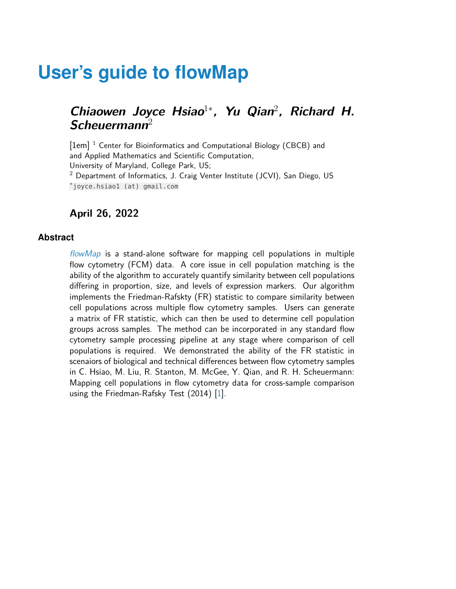# **User's guide to flowMap**

### **Chiaowen Joyce Hsiao**<sup>1</sup><sup>∗</sup> **, Yu Qian**<sup>2</sup> **, Richard H. Scheuermann**<sup>2</sup>

[1em] <sup>1</sup> Center for Bioinformatics and Computational Biology (CBCB) and and Applied Mathematics and Scientific Computation, University of Maryland, College Park, US;  $2$  Department of Informatics, J. Craig Venter Institute (JCVI), San Diego, US ∗ joyce.hsiao1 (at) gmail.com

#### **April 26, 2022**

#### **Abstract**

[flowMap](http://bioconductor.org/packages/flowMap) is a stand-alone software for mapping cell populations in multiple flow cytometry (FCM) data. A core issue in cell population matching is the ability of the algorithm to accurately quantify similarity between cell populations differing in proportion, size, and levels of expression markers. Our algorithm implements the Friedman-Rafskty (FR) statistic to compare similarity between cell populations across multiple flow cytometry samples. Users can generate a matrix of FR statistic, which can then be used to determine cell population groups across samples. The method can be incorporated in any standard flow cytometry sample processing pipeline at any stage where comparison of cell populations is required. We demonstrated the ability of the FR statistic in scenaiors of biological and technical differences between flow cytometry samples in C. Hsiao, M. Liu, R. Stanton, M. McGee, Y. Qian, and R. H. Scheuermann: Mapping cell populations in flow cytometry data for cross-sample comparison using the Friedman-Rafsky Test (2014) [\[1\]](#page-12-0).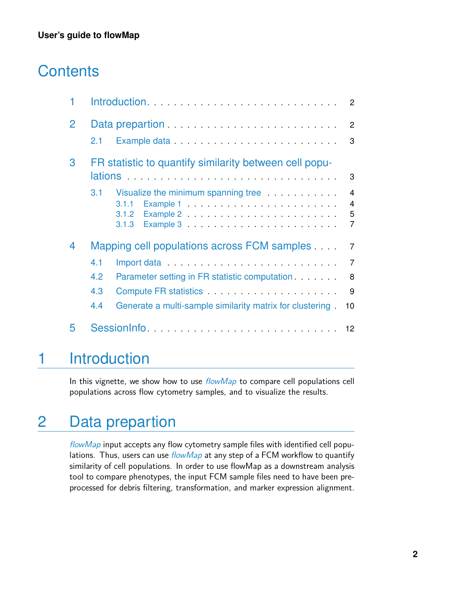# **Contents**

| 1 | Introduction                                           |                                                                                                                        | $\overline{2}$                                          |
|---|--------------------------------------------------------|------------------------------------------------------------------------------------------------------------------------|---------------------------------------------------------|
| 2 |                                                        | Data prepartion <i>container and a container and a container and a container and a container and a container and a</i> | 2                                                       |
|   | 2.1                                                    |                                                                                                                        | 3                                                       |
| 3 | FR statistic to quantify similarity between cell popu- |                                                                                                                        |                                                         |
|   |                                                        |                                                                                                                        | 3                                                       |
|   | 3.1                                                    | Visualize the minimum spanning tree<br>3.1.1<br>3.1.2<br>3.1.3                                                         | $\overline{4}$<br>$\overline{4}$<br>5<br>$\overline{7}$ |
| 4 | Mapping cell populations across FCM samples            |                                                                                                                        | $\overline{7}$                                          |
|   | 4.1                                                    | Import data results and the series of the series of the series of the series of the series of the series of the        | $\overline{7}$                                          |
|   | 4.2                                                    | Parameter setting in FR statistic computation                                                                          | 8                                                       |
|   | 4.3                                                    | Compute FR statistics <b>Compute FR</b> statistics                                                                     | 9                                                       |
|   | 4.4                                                    | Generate a multi-sample similarity matrix for clustering.                                                              | 10                                                      |
| 5 |                                                        |                                                                                                                        |                                                         |

## <span id="page-1-0"></span>1 Introduction

<span id="page-1-1"></span>In this vignette, we show how to use  $flowMap$  to compare cell populations cell populations across flow cytometry samples, and to visualize the results.

# 2 Data prepartion

[flowMap](http://bioconductor.org/packages/flowMap) input accepts any flow cytometry sample files with identified cell populations. Thus, users can use  $flowMap$  at any step of a FCM workflow to quantify similarity of cell populations. In order to use flowMap as a downstream analysis tool to compare phenotypes, the input FCM sample files need to have been preprocessed for debris filtering, transformation, and marker expression alignment.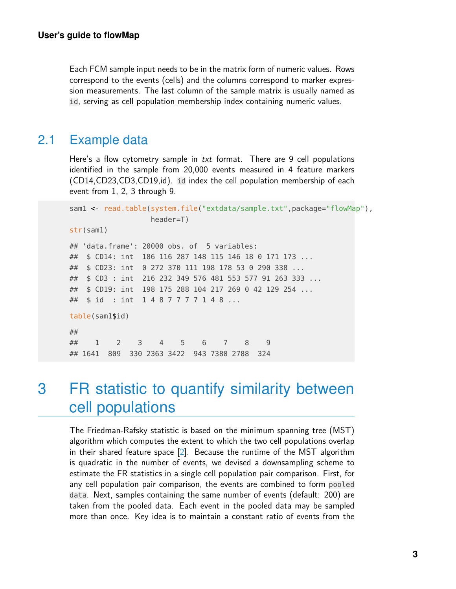Each FCM sample input needs to be in the matrix form of numeric values. Rows correspond to the events (cells) and the columns correspond to marker expression measurements. The last column of the sample matrix is usually named as id, serving as cell population membership index containing numeric values.

### <span id="page-2-0"></span>2.1 Example data

Here's a flow cytometry sample in txt format. There are 9 cell populations identified in the sample from 20,000 events measured in 4 feature markers (CD14,CD23,CD3,CD19,id). id index the cell population membership of each event from 1, 2, 3 through 9.

```
sam1 <- read.table(system.file("extdata/sample.txt",package="flowMap"),
                 header=T)
str(sam1)
## 'data.frame': 20000 obs. of 5 variables:
## $ CD14: int 186 116 287 148 115 146 18 0 171 173 ...
## $ CD23: int 0 272 370 111 198 178 53 0 290 338 ...
## $ CD3 : int 216 232 349 576 481 553 577 91 263 333 ...
## $ CD19: int 198 175 288 104 217 269 0 42 129 254 ...
## $ id : int 1 4 8 7 7 7 7 1 4 8 ...
table(sam1$id)
##
## 1 2 3 4 5 6 7 8 9
## 1641 809 330 2363 3422 943 7380 2788 324
```
## <span id="page-2-1"></span>3 FR statistic to quantify similarity between cell populations

The Friedman-Rafsky statistic is based on the minimum spanning tree (MST) algorithm which computes the extent to which the two cell populations overlap in their shared feature space [\[2\]](#page-12-1). Because the runtime of the MST algorithm is quadratic in the number of events, we devised a downsampling scheme to estimate the FR statistics in a single cell population pair comparison. First, for any cell population pair comparison, the events are combined to form pooled data. Next, samples containing the same number of events (default: 200) are taken from the pooled data. Each event in the pooled data may be sampled more than once. Key idea is to maintain a constant ratio of events from the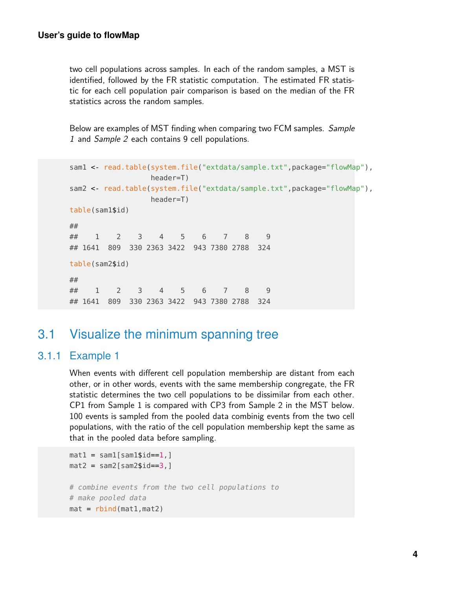two cell populations across samples. In each of the random samples, a MST is identified, followed by the FR statistic computation. The estimated FR statistic for each cell population pair comparison is based on the median of the FR statistics across the random samples.

Below are examples of MST finding when comparing two FCM samples. Sample 1 and Sample 2 each contains 9 cell populations.

```
sam1 <- read.table(system.file("extdata/sample.txt",package="flowMap"),
                header=T)
sam2 <- read.table(system.file("extdata/sample.txt",package="flowMap"),
                header=T)
table(sam1$id)
##
## 1 2 3 4 5 6 7 8 9
## 1641 809 330 2363 3422 943 7380 2788 324
table(sam2$id)
##
## 1 2 3 4 5 6 7 8 9
## 1641 809 330 2363 3422 943 7380 2788 324
```
### <span id="page-3-0"></span>3.1 Visualize the minimum spanning tree

### 3.1.1 Example 1

<span id="page-3-1"></span>When events with different cell population membership are distant from each other, or in other words, events with the same membership congregate, the FR statistic determines the two cell populations to be dissimilar from each other. CP1 from Sample 1 is compared with CP3 from Sample 2 in the MST below. 100 events is sampled from the pooled data combinig events from the two cell populations, with the ratio of the cell population membership kept the same as that in the pooled data before sampling.

```
mat1 = sam1[sam1$id==1, ]mat2 = sam2[sam2$id==3, ]# combine events from the two cell populations to
# make pooled data
mat = rbind(mat1, mat2)
```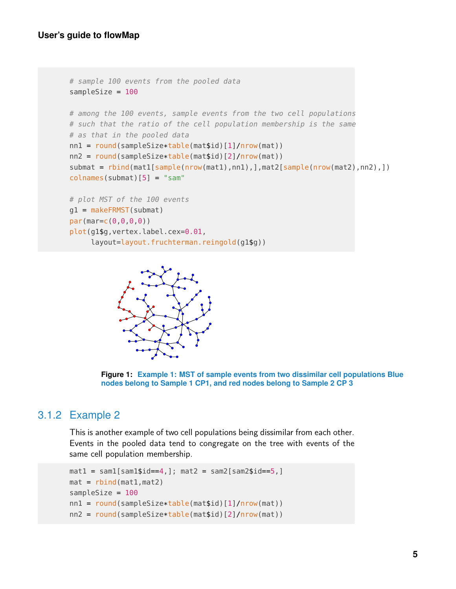```
# sample 100 events from the pooled data
sampleSize = 100
# among the 100 events, sample events from the two cell populations
# such that the ratio of the cell population membership is the same
# as that in the pooled data
nn1 = round(sampleSize*table(mat$id)[1]/nrow(mat))
nn2 = round(sampleSize*table(mat$id)[2]/nrow(mat))
submat = rbind(mat1[sample(nrow(mat1),nn1),],mat2[sample(nrow(mat2),nn2),])
colnames(submat)[5] = "sam"
# plot MST of the 100 events
g1 = makeFRMST(submat)
par(mar=c(0,0,0,0))
plot(g1$g,vertex.label.cex=0.01,
     layout=layout.fruchterman.reingold(g1$g))
```


<span id="page-4-0"></span>

### 3.1.2 Example 2

This is another example of two cell populations being dissimilar from each other. Events in the pooled data tend to congregate on the tree with events of the same cell population membership.

```
\text{mat1} = \text{sam1}[\text{sam1}$id==4,]; mat2 = sam2[sam2$id==5,]
mat = rbind(mat1, mat2)sampleSize = 100
nn1 = round(sampleSize*table(mat$id)[1]/nrow(mat))
nn2 = round(sampleSize*table(mat$id)[2]/nrow(mat))
```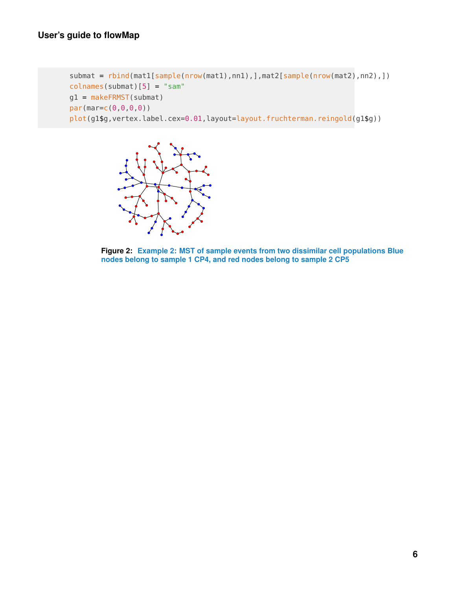```
submat = rbind(mat1[sample(nrow(mat1),nn1),],mat2[sample(nrow(mat2),nn2),])
colnames(submat)[5] = "sam"
g1 = makeFRMST(submat)
par(mar=c(0,0,0,0))
plot(g1$g, vertex.label.cex=0.01, layout=layout.fruchterman.reingold(g1$g))
```


**Figure 2: Example 2: MST of sample events from two dissimilar cell populations Blue nodes belong to sample 1 CP4, and red nodes belong to sample 2 CP5**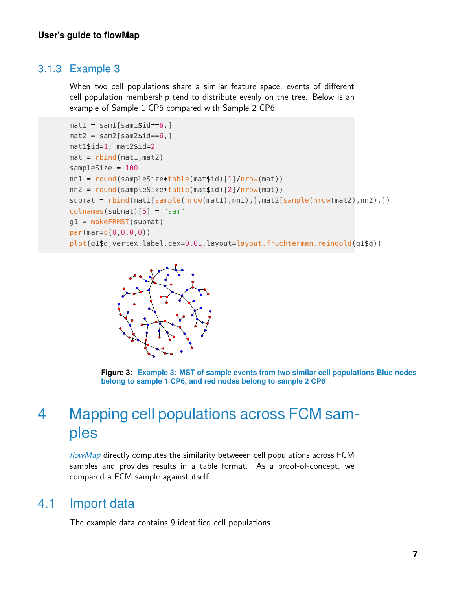### 3.1.3 Example 3

<span id="page-6-0"></span>When two cell populations share a similar feature space, events of different cell population membership tend to distribute evenly on the tree. Below is an example of Sample 1 CP6 compared with Sample 2 CP6.

```
mat1 = sam1[sam1$id == 6, ]mat2 = sam2[sam2$id==6.]mat1$id=1; mat2$id=2
mat = rbind(mat1, mat2)sampleSize = 100
nn1 = round(sampleSize*table(mat$id)[1]/nrow(mat))
nn2 = round(sampleSize*table(mat$id)[2]/nrow(mat))
submat = rbind(mat1[sample(nrow(mat1),nn1),],mat2[sample(nrow(mat2),nn2),])
colnames(submat)[5] = "sam"
g1 = makeFRMST(submat)
par(mar=c(0,0,0,0))
plot(g1$g,vertex.label.cex=0.01,layout=layout.fruchterman.reingold(g1$g))
```


**Figure 3: Example 3: MST of sample events from two similar cell populations Blue nodes belong to sample 1 CP6, and red nodes belong to sample 2 CP6**

## <span id="page-6-1"></span>4 Mapping cell populations across FCM samples

<span id="page-6-2"></span>[flowMap](http://bioconductor.org/packages/flowMap) directly computes the similarity betweeen cell populations across FCM samples and provides results in a table format. As a proof-of-concept, we compared a FCM sample against itself.

### 4.1 Import data

The example data contains 9 identified cell populations.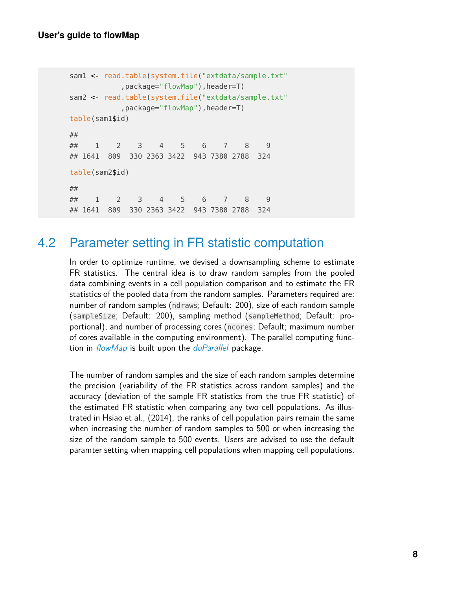#### **User's guide to flowMap**

```
sam1 < read.table(system.file("extdata/sample.txt"
          ,package="flowMap"),header=T)
sam2 < read.table(system.file("extdata/sample.txt"
          ,package="flowMap"),header=T)
table(sam1$id)
##
## 1 2 3 4 5 6 7 8 9
## 1641 809 330 2363 3422 943 7380 2788 324
table(sam2$id)
##
## 1 2 3 4 5 6 7 8 9
## 1641 809 330 2363 3422 943 7380 2788 324
```
### <span id="page-7-0"></span>4.2 Parameter setting in FR statistic computation

In order to optimize runtime, we devised a downsampling scheme to estimate FR statistics. The central idea is to draw random samples from the pooled data combining events in a cell population comparison and to estimate the FR statistics of the pooled data from the random samples. Parameters required are: number of random samples (ndraws; Default: 200), size of each random sample (sampleSize; Default: 200), sampling method (sampleMethod; Default: proportional), and number of processing cores (ncores; Default; maximum number of cores available in the computing environment). The parallel computing function in *[flowMap](http://bioconductor.org/packages/flowMap)* is built upon the *[doParallel](http://bioconductor.org/packages/doParallel)* package.

<span id="page-7-1"></span>The number of random samples and the size of each random samples determine the precision (variability of the FR statistics across random samples) and the accuracy (deviation of the sample FR statistics from the true FR statistic) of the estimated FR statistic when comparing any two cell populations. As illustrated in Hsiao et al., (2014), the ranks of cell population pairs remain the same when increasing the number of random samples to 500 or when increasing the size of the random sample to 500 events. Users are advised to use the default paramter setting when mapping cell populations when mapping cell populations.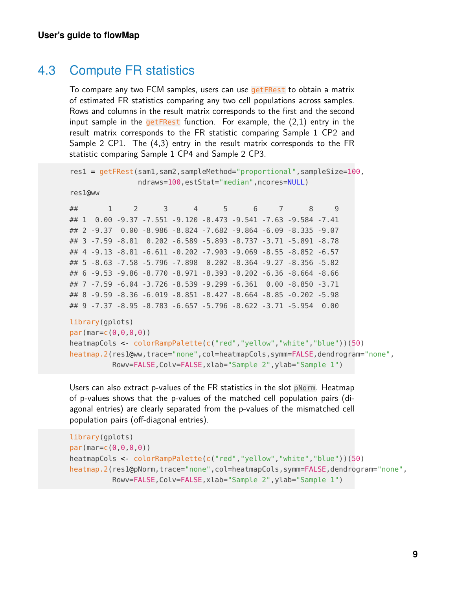### 4.3 Compute FR statistics

To compare any two FCM samples, users can use getFRest to obtain a matrix of estimated FR statistics comparing any two cell populations across samples. Rows and columns in the result matrix corresponds to the first and the second input sample in the getFRest function. For example, the  $(2,1)$  entry in the result matrix corresponds to the FR statistic comparing Sample 1 CP2 and Sample 2 CP1. The (4,3) entry in the result matrix corresponds to the FR statistic comparing Sample 1 CP4 and Sample 2 CP3.

```
res1 = getFRest(sam1,sam2,sampleMethod="proportional",sampleSize=100,
            ndraws=100,estStat="median",ncores=NULL)
res1@ww
## 1 2 3 4 5 6 7 8 9
```
## 1 0.00 -9.37 -7.551 -9.120 -8.473 -9.541 -7.63 -9.584 -7.41 ## 2 -9.37 0.00 -8.986 -8.824 -7.682 -9.864 -6.09 -8.335 -9.07 ## 3 -7.59 -8.81 0.202 -6.589 -5.893 -8.737 -3.71 -5.891 -8.78 ## 4 -9.13 -8.81 -6.611 -0.202 -7.903 -9.069 -8.55 -8.852 -6.57 ## 5 -8.63 -7.58 -5.796 -7.898 0.202 -8.364 -9.27 -8.356 -5.82 ## 6 -9.53 -9.86 -8.770 -8.971 -8.393 -0.202 -6.36 -8.664 -8.66 ## 7 -7.59 -6.04 -3.726 -8.539 -9.299 -6.361 0.00 -8.850 -3.71 ## 8 -9.59 -8.36 -6.019 -8.851 -8.427 -8.664 -8.85 -0.202 -5.98 ## 9 -7.37 -8.95 -8.783 -6.657 -5.796 -8.622 -3.71 -5.954 0.00

```
library(gplots)
par(mar=c(0,0,0,0))
heatmapCols <- colorRampPalette(c("red","yellow","white","blue"))(50)
heatmap.2(res1@ww,trace="none",col=heatmapCols,symm=FALSE,dendrogram="none",
          Rowv=FALSE,Colv=FALSE,xlab="Sample 2",ylab="Sample 1")
```
Users can also extract p-values of the FR statistics in the slot pNorm. Heatmap of p-values shows that the p-values of the matched cell population pairs (diagonal entries) are clearly separated from the p-values of the mismatched cell population pairs (off-diagonal entries).

```
library(gplots)
par(mar=c(0,0,0,0))
heatmapCols <- colorRampPalette(c("red","yellow","white","blue"))(50)
heatmap.2(res1@pNorm,trace="none",col=heatmapCols,symm=FALSE,dendrogram="none",
          Rowv=FALSE,Colv=FALSE,xlab="Sample 2",ylab="Sample 1")
```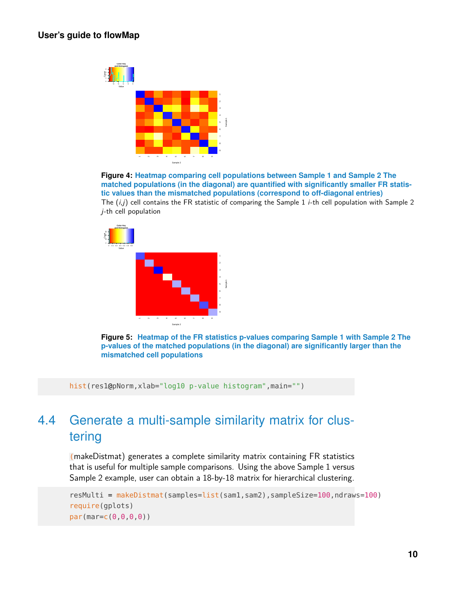

**Figure 4: Heatmap comparing cell populations between Sample 1 and Sample 2 The matched populations (in the diagonal) are quantified with significantly smaller FR statistic values than the mismatched populations (correspond to off-diagonal entries)** The  $(i, j)$  cell contains the FR statistic of comparing the Sample 1 *i*-th cell population with Sample 2 j-th cell population



**Figure 5: Heatmap of the FR statistics p-values comparing Sample 1 with Sample 2 The p-values of the matched populations (in the diagonal) are significantly larger than the mismatched cell populations**

<span id="page-9-0"></span>hist(res1@pNorm,xlab="log10 p-value histogram",main="")

### 4.4 Generate a multi-sample similarity matrix for clustering

(makeDistmat) generates a complete similarity matrix containing FR statistics that is useful for multiple sample comparisons. Using the above Sample 1 versus Sample 2 example, user can obtain a 18-by-18 matrix for hierarchical clustering.

```
resMulti = makeDistmat(samples=list(sam1,sam2),sampleSize=100,ndraws=100)
require(gplots)
par(mar=c(0,0,0,0))
```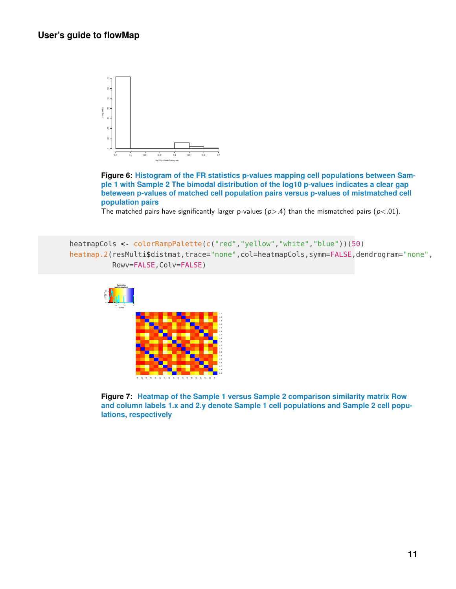

**Figure 6: Histogram of the FR statistics p-values mapping cell populations between Sample 1 with Sample 2 The bimodal distribution of the log10 p-values indicates a clear gap beteween p-values of matched cell population pairs versus p-values of mistmatched cell population pairs**

The matched pairs have significantly larger p-values ( $p$ >.4) than the mismatched pairs ( $p$ <.01).

```
heatmapCols <- colorRampPalette(c("red","yellow","white","blue"))(50)
heatmap.2(resMulti$distmat,trace="none",col=heatmapCols,symm=FALSE,dendrogram="none",
          Rowv=FALSE, Colv=FALSE)
```


**Figure 7: Heatmap of the Sample 1 versus Sample 2 comparison similarity matrix Row and column labels 1.x and 2.y denote Sample 1 cell populations and Sample 2 cell populations, respectively**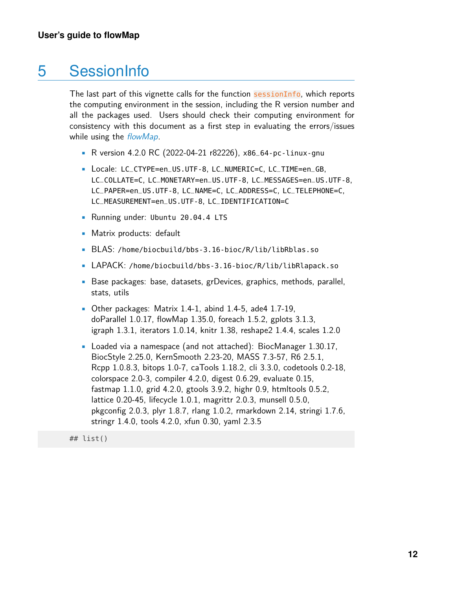## 5 SessionInfo

<span id="page-11-0"></span>The last part of this vignette calls for the function sessionInfo, which reports the computing environment in the session, including the R version number and all the packages used. Users should check their computing environment for consistency with this document as a first step in evaluating the errors/issues while using the [flowMap](http://bioconductor.org/packages/flowMap).

- R version 4.2.0 RC (2022-04-21 r82226), x86\_64-pc-linux-gnu
- Locale: LC\_CTYPE=en\_US.UTF-8, LC\_NUMERIC=C, LC\_TIME=en\_GB, LC\_COLLATE=C, LC\_MONETARY=en\_US.UTF-8, LC\_MESSAGES=en\_US.UTF-8, LC\_PAPER=en\_US.UTF-8, LC\_NAME=C, LC\_ADDRESS=C, LC\_TELEPHONE=C, LC\_MEASUREMENT=en\_US.UTF-8, LC\_IDENTIFICATION=C
- Running under: Ubuntu 20.04.4 LTS
- Matrix products: default
- BLAS: /home/biocbuild/bbs-3.16-bioc/R/lib/libRblas.so
- LAPACK: /home/biocbuild/bbs-3.16-bioc/R/lib/libRlapack.so
- Base packages: base, datasets, grDevices, graphics, methods, parallel, stats, utils
- Other packages: Matrix 1.4-1, abind 1.4-5, ade4 1.7-19, doParallel 1.0.17, flowMap 1.35.0, foreach 1.5.2, gplots 3.1.3, igraph 1.3.1, iterators 1.0.14, knitr 1.38, reshape2 1.4.4, scales 1.2.0
- Loaded via a namespace (and not attached): BiocManager 1.30.17, BiocStyle 2.25.0, KernSmooth 2.23-20, MASS 7.3-57, R6 2.5.1, Rcpp 1.0.8.3, bitops 1.0-7, caTools 1.18.2, cli 3.3.0, codetools 0.2-18, colorspace 2.0-3, compiler 4.2.0, digest 0.6.29, evaluate 0.15, fastmap 1.1.0, grid 4.2.0, gtools 3.9.2, highr 0.9, htmltools 0.5.2, lattice 0.20-45, lifecycle 1.0.1, magrittr 2.0.3, munsell 0.5.0, pkgconfig 2.0.3, plyr 1.8.7, rlang 1.0.2, rmarkdown 2.14, stringi 1.7.6, stringr 1.4.0, tools 4.2.0, xfun 0.30, yaml 2.3.5

## list()